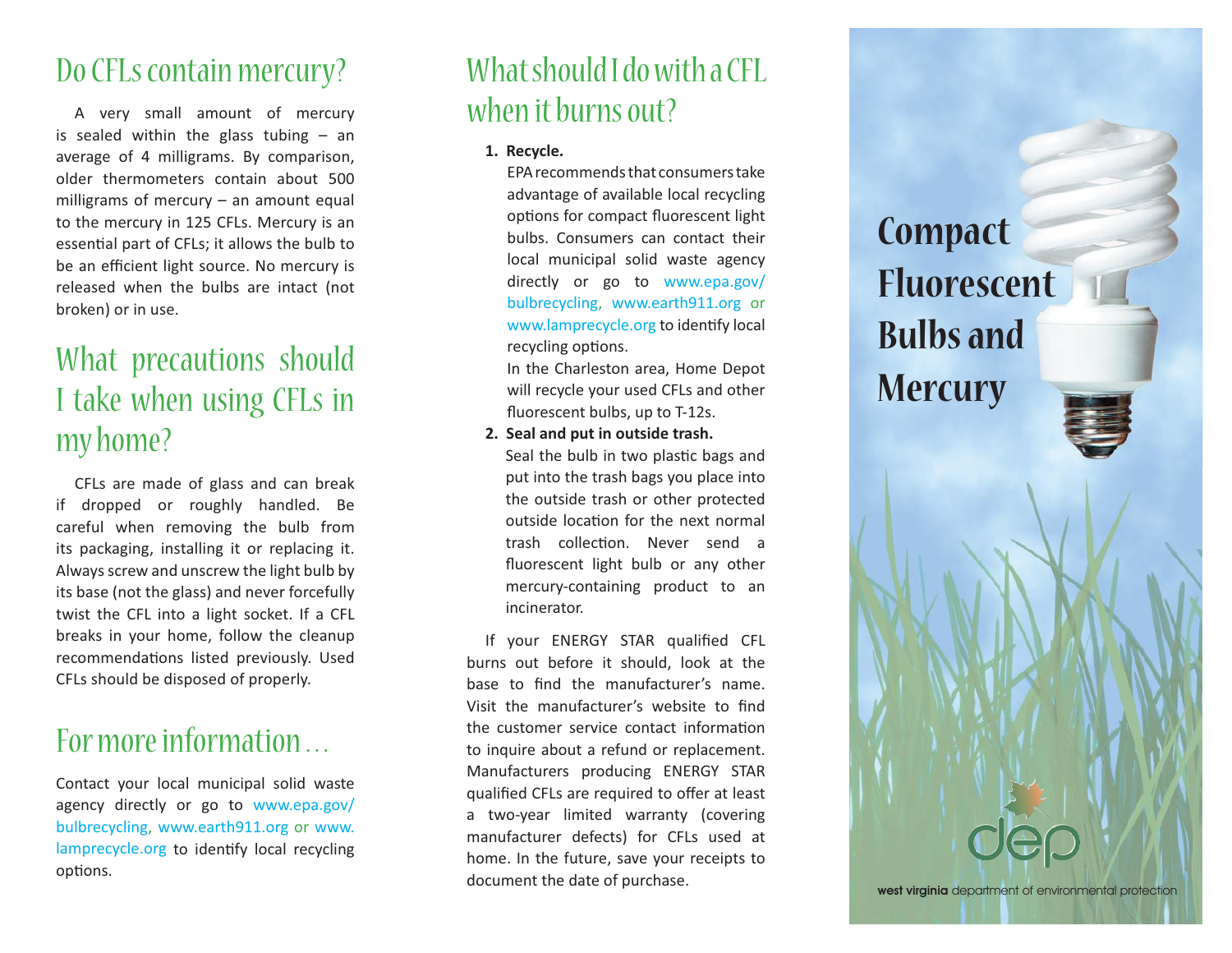### Do CFLs contain mercury?

 A very small amount of mercury is sealed within the glass tubing – an average of 4 milligrams. By comparison, older thermometers contain about 500 milligrams of mercury – an amount equal to the mercury in 125 CFLs. Mercury is an essential part of CFLs; it allows the bulb to be an efficient light source. No mercury is released when the bulbs are intact (not broken) or in use.

# What precautions should I take when using CFLs in my home?

 CFLs are made of glass and can break if dropped or roughly handled. Be careful when removing the bulb from its packaging, installing it or replacing it. Always screw and unscrew the light bulb by its base (not the glass) and never forcefully twist the CFL into a light socket. If a CFL breaks in your home, follow the cleanup recommendations listed previously. Used CFLs should be disposed of properly.

## For more information ...

Contact your local municipal solid waste agency directly or go to www.epa.gov/ bulbrecycling, www.earth911.org or www. lamprecycle.org to identify local recycling options.

## What should I do with a CFL when it burns out?

**1. Recycle.**

EPA recommends that consumers take advantage of available local recycling options for compact fluorescent light bulbs. Consumers can contact their local municipal solid waste agency directly or go to www.epa.gov/ bulbrecycling, www.earth911.org or www.lamprecycle.org to identify local recycling options.

In the Charleston area, Home Depot will recycle your used CFLs and other fluorescent bulbs, up to T-12s.

 **2. Seal and put in outside trash.** Seal the bulb in two plastic bags and put into the trash bags you place into the outside trash or other protected outside location for the next normal trash collection. Never send a fluorescent light bulb or any other mercury-containing product to an incinerator.

If your ENERGY STAR qualified CFL burns out before it should, look at the base to find the manufacturer's name. Visit the manufacturer's website to find the customer service contact information to inquire about a refund or replacement. Manufacturers producing ENERGY STAR qualified CFLs are required to offer at least a two-year limited warranty (covering manufacturer defects) for CFLs used at home. In the future, save your receipts to document the date of purchase.

**Compact FluorescentBulbs andMercury**